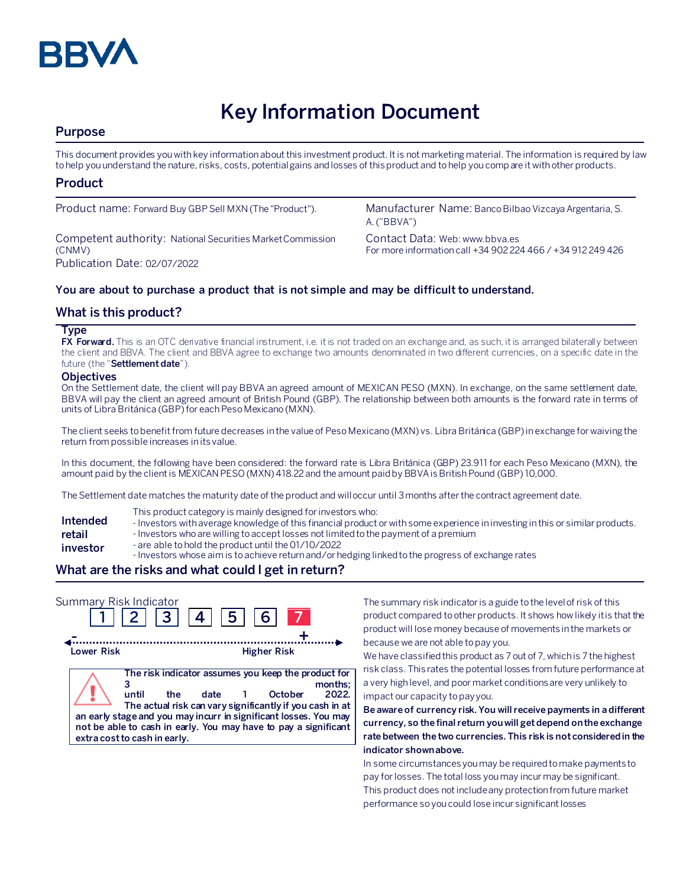

# **Key Information Document**

# **Purpose**

This document provides you with key information about this investment product. It is not marketing material. The information is required by law to help you understand the nature, risks, costs, potential gains and losses of this product and to help you compare it with other products.

## **Product**

Competent authority: National Securities Market Commission (CNMV) Publication Date: 02/07/2022

Product name: Forward Buy GBP Sell MXN (The "Product"). Manufacturer Name: Banco Bilbao Vizcaya Argentaria, S. A. ("BBVA")

> Contact Data: Web: www.bbva.es For more information call +34 902 224 466 / +34 912 249 426

## **You are about to purchase a product that is not simple and may be difficult to understand.**

## **What is this product?**

#### **Type**

**FX Forward.** This is an OTC derivative financial instrument, i.e. it is not traded on an exchange and, as such, it is arranged bilaterally between the client and BBVA. The client and BBVA agree to exchange two amounts denominated in two different currencies, on a specific date in the future (the "**Settlement date**").

#### **Objectives**

On the Settlement date, the client will pay BBVA an agreed amount of MEXICAN PESO (MXN). In exchange, on the same settlement date, BBVA will pay the client an agreed amount of British Pound (GBP). The relationship between both amounts is the forward rate in terms of units of Libra Británica (GBP)for each Peso Mexicano (MXN).

The client seeks to benefit from future decreases in the value of Peso Mexicano (MXN) vs. Libra Británica (GBP) in exchange for waiving the return from possible increases in its value.

In this document, the following have been considered: the forward rate is Libra Británica (GBP) 23.911 for each Peso Mexicano (MXN), the amount paid by the client is MEXICAN PESO (MXN)418.22 and the amount paidby BBVA isBritish Pound (GBP) 10,000.

The Settlement date matches the maturity date of the product and will occur until 3 months after the contract agreement date.

- This product category is mainly designed for investors who:
- **Intended**  - Investors with average knowledge of this financial product or with some experience in investing in this or similar products.
- **retail**  - Investors who are willing to accept losses not limited to the payment of a premium
- **investor** - are able to hold the product until the 01/10/2022
	- Investors whose aim is to achieve return and/or hedging linked to the progress of exchange rates

## **What are the risks and what could I get in return?**

| Summary Risk Indicator |                                              | 2  3  4  5  6 |                         |                                                                                                                                                                                                                                                                            |
|------------------------|----------------------------------------------|---------------|-------------------------|----------------------------------------------------------------------------------------------------------------------------------------------------------------------------------------------------------------------------------------------------------------------------|
| Lower Risk             |                                              |               | <b>Higher Risk</b>      |                                                                                                                                                                                                                                                                            |
|                        | until<br>the<br>extra cost to cash in early. | date          | October<br>$\mathbf{1}$ | The risk indicator assumes you keep the product for<br>months:<br>2022.<br>The actual risk can vary significantly if you cash in at<br>an early stage and you may incurr in significant losses. You may<br>not be able to cash in early. You may have to pay a significant |

The summary risk indicator is a guide to the level of risk of this product compared to other products. It shows how likely it is that the product will lose money because of movements in the markets or because we are not able to pay you.

We have classified this product as 7 out of 7, which is 7 the highest risk class. This rates the potential losses from future performance at a very high level, and poor market conditions are very unlikely to impact our capacity to pay you.

**Be aware of currency risk. You will receive payments in a different currency, so the final return you will get depend on the exchange rate between the two currencies. This risk is not considered in the indicator shown above.**

In some circumstances you may be required to make payments to pay for losses. The total loss you may incur may be significant. This product does not include any protection from future market performance so you could lose incur significant losses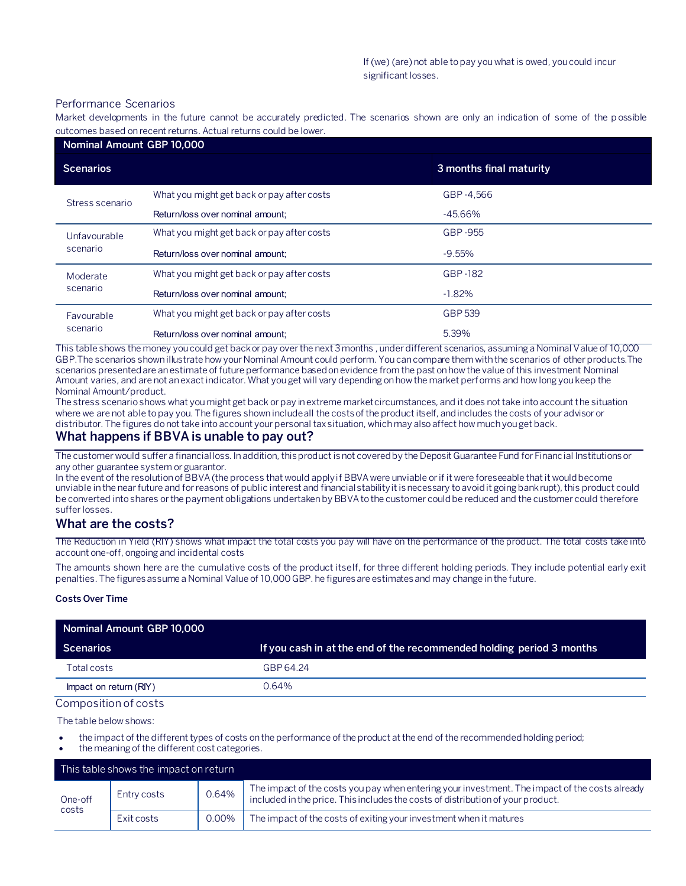#### Performance Scenarios

Market developments in the future cannot be accurately predicted. The scenarios shown are only an indication of some of the p ossible outcomes based on recent returns. Actual returns could be lower.

| Nominal Amount GBP 10,000 |                                            |                         |  |  |
|---------------------------|--------------------------------------------|-------------------------|--|--|
| <b>Scenarios</b>          |                                            | 3 months final maturity |  |  |
| Stress scenario           | What you might get back or pay after costs | GBP-4.566               |  |  |
|                           | Return/loss over nominal amount;           | $-45.66%$               |  |  |
| Unfavourable<br>scenario  | What you might get back or pay after costs | GBP-955                 |  |  |
|                           | Return/loss over nominal amount;           | $-9.55%$                |  |  |
| Moderate<br>scenario      | What you might get back or pay after costs | GBP-182                 |  |  |
|                           | Return/loss over nominal amount:           | $-1.82%$                |  |  |
| Favourable<br>scenario    | What you might get back or pay after costs | GBP 539                 |  |  |
|                           | Return/loss over nominal amount:           | 5.39%                   |  |  |

This table shows the money you could get back or pay over the next 3 months , under different scenarios, assuming a Nominal Value of 10,000 GBP.The scenarios shown illustrate how your Nominal Amount could perform. You can compare them with the scenarios of other products.The scenarios presented are an estimate of future performance based on evidence from the past on how the value of this investment Nominal Amount varies, and are not an exact indicator. What you get will vary depending on how the market performs and how long you keep the Nominal Amount/product.

The stress scenario shows what you might get back or pay in extreme market circumstances, and it does not take into account the situation where we are not able to pay you. The figures shown include all the costs of the product itself, and includes the costs of your advisor or distributor. The figures do not take into account your personal tax situation, which may also affect how much you get back.

## **What happens if BBVA is unable to pay out?**

The customer would suffer a financial loss. In addition, this product is not covered by the Deposit Guarantee Fund for Financial Institutions or any other guarantee system or guarantor.

In the event of the resolution of BBVA (the process that would apply if BBVA were unviable or if it were foreseeable that it would become unviable in the near future and for reasons of public interest and financial stability it is necessary to avoid it going bankrupt), this product could be converted into shares or the payment obligations undertaken by BBVA to the customer could be reduced and the customer could therefore suffer losses.

## **What are the costs?**

The Reduction in Yield (RIY) shows what impact the total costs you pay will have on the performance of the product. The total costs take into account one-off, ongoing and incidental costs

The amounts shown here are the cumulative costs of the product itself, for three different holding periods. They include potential early exit penalties. The figures assume a Nominal Value of 10,000 GBP. he figures are estimates and may change in the future.

#### **Costs Over Time**

| Nominal Amount GBP 10,000 |                                                                      |  |
|---------------------------|----------------------------------------------------------------------|--|
| <b>Scenarios</b>          | If you cash in at the end of the recommended holding period 3 months |  |
| Total costs               | GBP 64.24                                                            |  |
| Impact on return (RIY)    | 0.64%                                                                |  |

#### Composition of costs

The table below shows:

- the impact of the different types of costs on the performance of the product at the end of the recommended holding period;
- the meaning of the different cost categories.

| This table shows the impact on return |             |       |                                                                                                                                                                                   |
|---------------------------------------|-------------|-------|-----------------------------------------------------------------------------------------------------------------------------------------------------------------------------------|
| One-off<br>costs                      | Entry costs | 0.64% | The impact of the costs you pay when entering your investment. The impact of the costs already<br>included in the price. This includes the costs of distribution of your product. |
|                                       | Exit costs  | 0.00% | The impact of the costs of exiting your investment when it matures                                                                                                                |